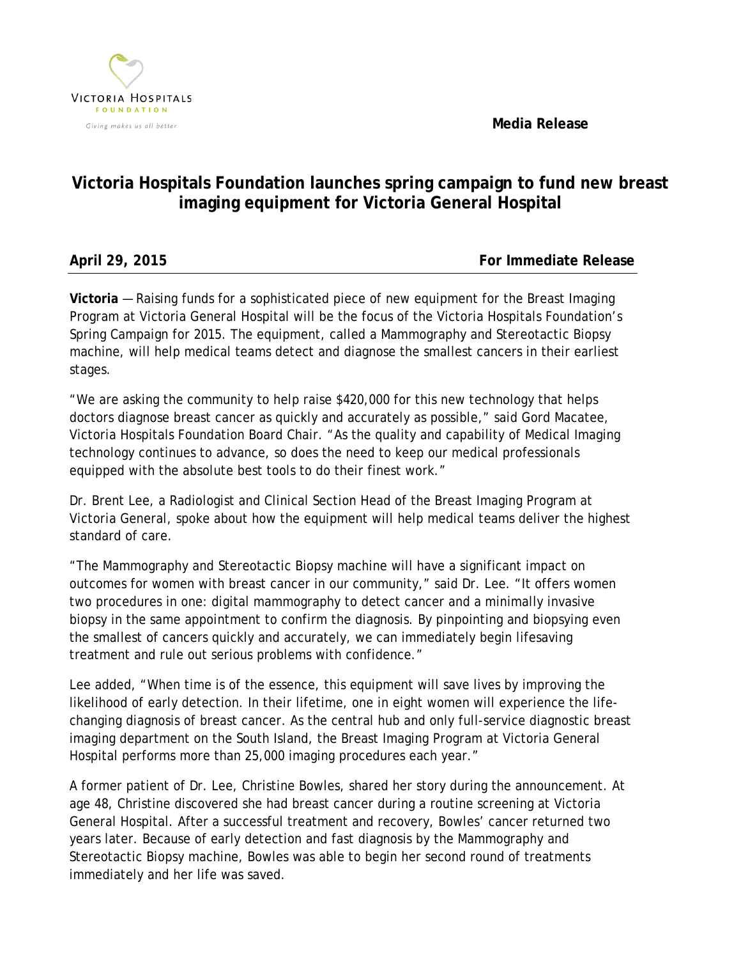**Media Release**



## **Victoria Hospitals Foundation launches spring campaign to fund new breast imaging equipment for Victoria General Hospital**

| April 29, 2015 |  |  |
|----------------|--|--|
|                |  |  |

**For Immediate Release** 

**Victoria** — Raising funds for a sophisticated piece of new equipment for the Breast Imaging Program at Victoria General Hospital will be the focus of the Victoria Hospitals Foundation's Spring Campaign for 2015. The equipment, called a Mammography and Stereotactic Biopsy machine, will help medical teams detect and diagnose the smallest cancers in their earliest stages.

"We are asking the community to help raise \$420,000 for this new technology that helps doctors diagnose breast cancer as quickly and accurately as possible," said Gord Macatee, Victoria Hospitals Foundation Board Chair. "As the quality and capability of Medical Imaging technology continues to advance, so does the need to keep our medical professionals equipped with the absolute best tools to do their finest work."

Dr. Brent Lee, a Radiologist and Clinical Section Head of the Breast Imaging Program at Victoria General, spoke about how the equipment will help medical teams deliver the highest standard of care.

"The Mammography and Stereotactic Biopsy machine will have a significant impact on outcomes for women with breast cancer in our community," said Dr. Lee. "It offers women two procedures in one: digital mammography to detect cancer and a minimally invasive biopsy in the same appointment to confirm the diagnosis. By pinpointing and biopsying even the smallest of cancers quickly and accurately, we can immediately begin lifesaving treatment and rule out serious problems with confidence."

Lee added, "When time is of the essence, this equipment will save lives by improving the likelihood of early detection. In their lifetime, one in eight women will experience the lifechanging diagnosis of breast cancer. As the central hub and only full-service diagnostic breast imaging department on the South Island, the Breast Imaging Program at Victoria General Hospital performs more than 25,000 imaging procedures each year."

A former patient of Dr. Lee, Christine Bowles, shared her story during the announcement. At age 48, Christine discovered she had breast cancer during a routine screening at Victoria General Hospital. After a successful treatment and recovery, Bowles' cancer returned two years later. Because of early detection and fast diagnosis by the Mammography and Stereotactic Biopsy machine, Bowles was able to begin her second round of treatments immediately and her life was saved.